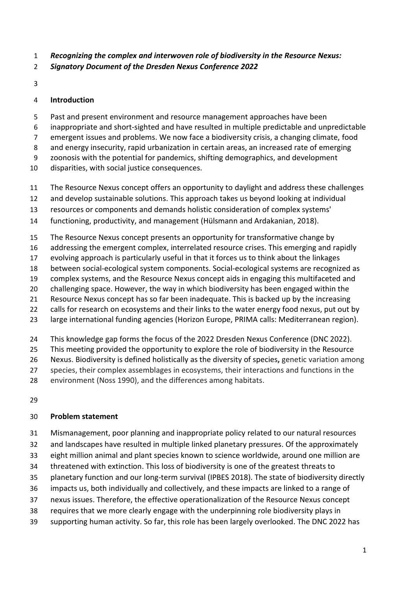- *Recognizing the complex and interwoven role of biodiversity in the Resource Nexus:*
- *Signatory Document of the Dresden Nexus Conference 2022*
- 

#### **Introduction**

- Past and present environment and resource management approaches have been
- inappropriate and short-sighted and have resulted in multiple predictable and unpredictable
- emergent issues and problems. We now face a biodiversity crisis, a changing climate, food
- and energy insecurity, rapid urbanization in certain areas, an increased rate of emerging
- zoonosis with the potential for pandemics, shifting demographics, and development
- disparities, with social justice consequences.
- The Resource Nexus concept offers an opportunity to daylight and address these challenges
- and develop sustainable solutions. This approach takes us beyond looking at individual
- resources or components and demands holistic consideration of complex systems'
- functioning, productivity, and management (Hülsmann and Ardakanian, 2018).
- The Resource Nexus concept presents an opportunity for transformative change by
- addressing the emergent complex, interrelated resource crises. This emerging and rapidly
- evolving approach is particularly useful in that it forces us to think about the linkages
- between social-ecological system components. Social-ecological systems are recognized as
- complex systems, and the Resource Nexus concept aids in engaging this multifaceted and
- challenging space. However, the way in which biodiversity has been engaged within the
- Resource Nexus concept has so far been inadequate. This is backed up by the increasing
- 22 calls for research on ecosystems and their links to the water energy food nexus, put out by large international funding agencies (Horizon Europe, PRIMA calls: Mediterranean region).
- 
- This knowledge gap forms the focus of the 2022 Dresden Nexus Conference (DNC 2022).
- This meeting provided the opportunity to explore the role of biodiversity in the Resource
- Nexus. Biodiversity is defined holistically as the diversity of species**,** genetic variation among
- species, their complex assemblages in ecosystems, their interactions and functions in the
- environment (Noss 1990), and the differences among habitats.
- 

## **Problem statement**

- Mismanagement, poor planning and inappropriate policy related to our natural resources
- and landscapes have resulted in multiple linked planetary pressures. Of the approximately
- eight million animal and plant species known to science worldwide, around one million are
- threatened with extinction. This loss of biodiversity is one of the greatest threats to
- planetary function and our long-term survival (IPBES 2018). The state of biodiversity directly
- impacts us, both individually and collectively, and these impacts are linked to a range of
- nexus issues. Therefore, the effective operationalization of the Resource Nexus concept
- requires that we more clearly engage with the underpinning role biodiversity plays in
- supporting human activity. So far, this role has been largely overlooked. The DNC 2022 has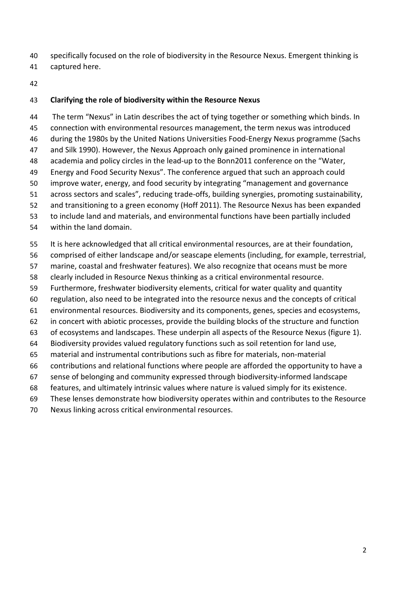- specifically focused on the role of biodiversity in the Resource Nexus. Emergent thinking is
- captured here.
- 

#### **Clarifying the role of biodiversity within the Resource Nexus**

44 The term "Nexus" in Latin describes the act of tying together or something which binds. In connection with environmental resources management, the term nexus was introduced during the 1980s by the United Nations Universities Food-Energy Nexus programme (Sachs and Silk 1990). However, the Nexus Approach only gained prominence in international academia and policy circles in the lead-up to the Bonn2011 conference on the "Water, Energy and Food Security Nexus". The conference argued that such an approach could improve water, energy, and food security by integrating "management and governance across sectors and scales", reducing trade-offs, building synergies, promoting sustainability, and transitioning to a green economy (Hoff 2011). The Resource Nexus has been expanded to include land and materials, and environmental functions have been partially included within the land domain.

- It is here acknowledged that all critical environmental resources, are at their foundation,
- comprised of either landscape and/or seascape elements (including, for example, terrestrial,
- marine, coastal and freshwater features). We also recognize that oceans must be more
- clearly included in Resource Nexus thinking as a critical environmental resource.
- Furthermore, freshwater biodiversity elements, critical for water quality and quantity
- regulation, also need to be integrated into the resource nexus and the concepts of critical
- environmental resources. Biodiversity and its components, genes, species and ecosystems,
- in concert with abiotic processes, provide the building blocks of the structure and function
- of ecosystems and landscapes. These underpin all aspects of the Resource Nexus (figure 1).
- Biodiversity provides valued regulatory functions such as soil retention for land use,
- material and instrumental contributions such as fibre for materials, non-material
- contributions and relational functions where people are afforded the opportunity to have a
- sense of belonging and community expressed through biodiversity-informed landscape
- features, and ultimately intrinsic values where nature is valued simply for its existence.
- These lenses demonstrate how biodiversity operates within and contributes to the Resource
- Nexus linking across critical environmental resources.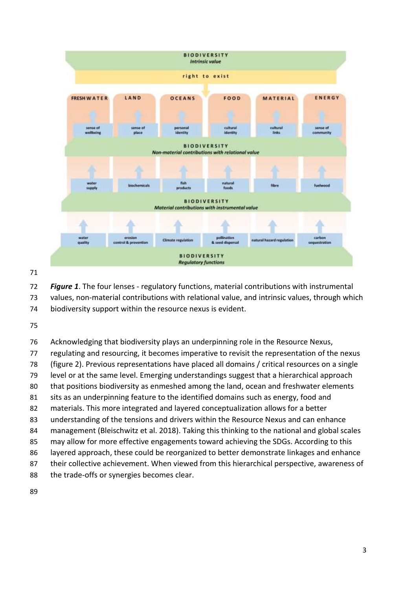

 *Figure 1*. The four lenses - regulatory functions, material contributions with instrumental values, non-material contributions with relational value, and intrinsic values, through which biodiversity support within the resource nexus is evident.

Acknowledging that biodiversity plays an underpinning role in the Resource Nexus,

regulating and resourcing, it becomes imperative to revisit the representation of the nexus

(figure 2). Previous representations have placed all domains / critical resources on a single

level or at the same level. Emerging understandings suggest that a hierarchical approach

that positions biodiversity as enmeshed among the land, ocean and freshwater elements

sits as an underpinning feature to the identified domains such as energy, food and

materials. This more integrated and layered conceptualization allows for a better

understanding of the tensions and drivers within the Resource Nexus and can enhance

management (Bleischwitz et al. 2018). Taking this thinking to the national and global scales

may allow for more effective engagements toward achieving the SDGs. According to this

layered approach, these could be reorganized to better demonstrate linkages and enhance

their collective achievement. When viewed from this hierarchical perspective, awareness of

the trade-offs or synergies becomes clear.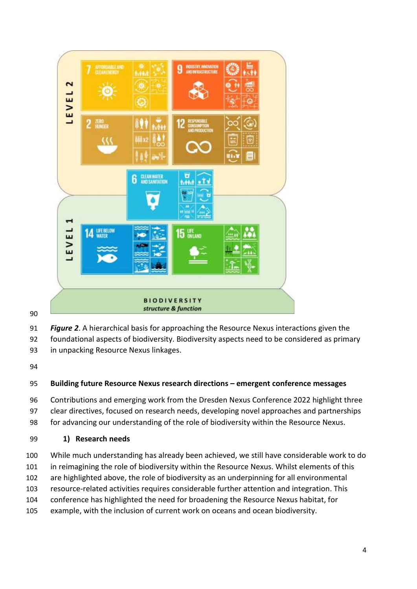

- *Figure 2*. A hierarchical basis for approaching the Resource Nexus interactions given the
- foundational aspects of biodiversity. Biodiversity aspects need to be considered as primary
- in unpacking Resource Nexus linkages.

#### **Building future Resource Nexus research directions – emergent conference messages**

 Contributions and emerging work from the Dresden Nexus Conference 2022 highlight three clear directives, focused on research needs, developing novel approaches and partnerships

for advancing our understanding of the role of biodiversity within the Resource Nexus.

**1) Research needs**

While much understanding has already been achieved, we still have considerable work to do

101 in reimagining the role of biodiversity within the Resource Nexus. Whilst elements of this

are highlighted above, the role of biodiversity as an underpinning for all environmental

- resource-related activities requires considerable further attention and integration. This
- conference has highlighted the need for broadening the Resource Nexus habitat, for
- example, with the inclusion of current work on oceans and ocean biodiversity.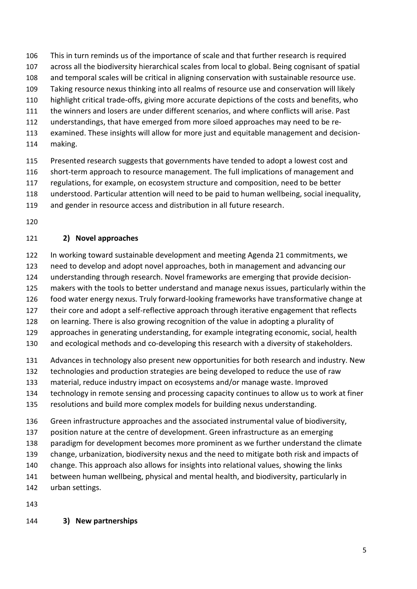This in turn reminds us of the importance of scale and that further research is required

- across all the biodiversity hierarchical scales from local to global. Being cognisant of spatial
- and temporal scales will be critical in aligning conservation with sustainable resource use.
- Taking resource nexus thinking into all realms of resource use and conservation will likely
- highlight critical trade-offs, giving more accurate depictions of the costs and benefits, who
- the winners and losers are under different scenarios, and where conflicts will arise. Past
- understandings, that have emerged from more siloed approaches may need to be re-
- examined. These insights will allow for more just and equitable management and decision-
- making.
- Presented research suggests that governments have tended to adopt a lowest cost and
- short-term approach to resource management. The full implications of management and
- regulations, for example, on ecosystem structure and composition, need to be better
- understood. Particular attention will need to be paid to human wellbeing, social inequality,
- and gender in resource access and distribution in all future research.
- 

## **2) Novel approaches**

- In working toward sustainable development and meeting Agenda 21 commitments, we
- need to develop and adopt novel approaches, both in management and advancing our
- understanding through research. Novel frameworks are emerging that provide decision-
- makers with the tools to better understand and manage nexus issues, particularly within the
- food water energy nexus. Truly forward-looking frameworks have transformative change at
- their core and adopt a self-reflective approach through iterative engagement that reflects
- on learning. There is also growing recognition of the value in adopting a plurality of
- approaches in generating understanding, for example integrating economic, social, health
- and ecological methods and co-developing this research with a diversity of stakeholders.
- Advances in technology also present new opportunities for both research and industry. New
- technologies and production strategies are being developed to reduce the use of raw
- material, reduce industry impact on ecosystems and/or manage waste. Improved
- technology in remote sensing and processing capacity continues to allow us to work at finer
- resolutions and build more complex models for building nexus understanding.
- Green infrastructure approaches and the associated instrumental value of biodiversity,
- position nature at the centre of development. Green infrastructure as an emerging
- paradigm for development becomes more prominent as we further understand the climate
- change, urbanization, biodiversity nexus and the need to mitigate both risk and impacts of
- change. This approach also allows for insights into relational values, showing the links
- between human wellbeing, physical and mental health, and biodiversity, particularly in
- urban settings.
- 

# **3) New partnerships**